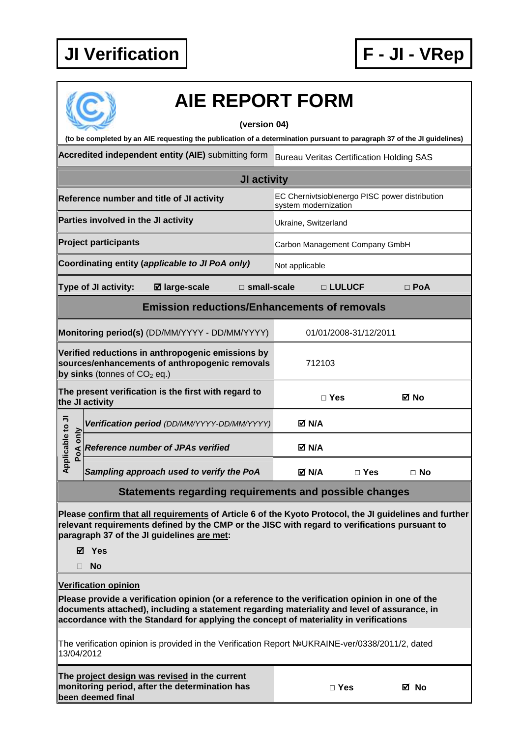**been deemed final** 



|                                                                                                                                                                                                                                   | <b>AIE REPORT FORM</b>                                                                                                                                                                                                                                                                  |                                                                        |                       |            |  |  |  |  |
|-----------------------------------------------------------------------------------------------------------------------------------------------------------------------------------------------------------------------------------|-----------------------------------------------------------------------------------------------------------------------------------------------------------------------------------------------------------------------------------------------------------------------------------------|------------------------------------------------------------------------|-----------------------|------------|--|--|--|--|
| (version 04)                                                                                                                                                                                                                      |                                                                                                                                                                                                                                                                                         |                                                                        |                       |            |  |  |  |  |
| (to be completed by an AIE requesting the publication of a determination pursuant to paragraph 37 of the JI guidelines)<br>Accredited independent entity (AIE) submitting form<br><b>Bureau Veritas Certification Holding SAS</b> |                                                                                                                                                                                                                                                                                         |                                                                        |                       |            |  |  |  |  |
|                                                                                                                                                                                                                                   |                                                                                                                                                                                                                                                                                         |                                                                        |                       |            |  |  |  |  |
|                                                                                                                                                                                                                                   | <b>JI activity</b>                                                                                                                                                                                                                                                                      |                                                                        |                       |            |  |  |  |  |
|                                                                                                                                                                                                                                   | Reference number and title of JI activity                                                                                                                                                                                                                                               | EC Chernivtsioblenergo PISC power distribution<br>system modernization |                       |            |  |  |  |  |
|                                                                                                                                                                                                                                   | Parties involved in the JI activity                                                                                                                                                                                                                                                     | Ukraine, Switzerland                                                   |                       |            |  |  |  |  |
|                                                                                                                                                                                                                                   | <b>Project participants</b>                                                                                                                                                                                                                                                             | Carbon Management Company GmbH                                         |                       |            |  |  |  |  |
|                                                                                                                                                                                                                                   | Coordinating entity (applicable to JI PoA only)                                                                                                                                                                                                                                         | Not applicable                                                         |                       |            |  |  |  |  |
|                                                                                                                                                                                                                                   | Type of JI activity:<br><b>Ø</b> large-scale<br>$\square$ small-scale                                                                                                                                                                                                                   |                                                                        | □ LULUCF              | $\Box$ PoA |  |  |  |  |
| <b>Emission reductions/Enhancements of removals</b>                                                                                                                                                                               |                                                                                                                                                                                                                                                                                         |                                                                        |                       |            |  |  |  |  |
|                                                                                                                                                                                                                                   | Monitoring period(s) (DD/MM/YYYY - DD/MM/YYYY)                                                                                                                                                                                                                                          |                                                                        | 01/01/2008-31/12/2011 |            |  |  |  |  |
|                                                                                                                                                                                                                                   | Verified reductions in anthropogenic emissions by<br>sources/enhancements of anthropogenic removals<br>by sinks (tonnes of $CO2$ eq.)                                                                                                                                                   | 712103                                                                 |                       |            |  |  |  |  |
|                                                                                                                                                                                                                                   | The present verification is the first with regard to<br>the JI activity                                                                                                                                                                                                                 | $\Box$ Yes                                                             |                       | ⊠ No       |  |  |  |  |
|                                                                                                                                                                                                                                   | Verification period (DD/MM/YYYY-DD/MM/YYYY)                                                                                                                                                                                                                                             | <b>ØN/A</b>                                                            |                       |            |  |  |  |  |
| pplicable to JI<br>PoA only                                                                                                                                                                                                       | <b>Reference number of JPAs verified</b>                                                                                                                                                                                                                                                | M N/A                                                                  |                       |            |  |  |  |  |
| ⋖                                                                                                                                                                                                                                 | Sampling approach used to verify the PoA                                                                                                                                                                                                                                                | M N/A                                                                  | $\Box$ Yes            | $\Box$ No  |  |  |  |  |
|                                                                                                                                                                                                                                   | Statements regarding requirements and possible changes                                                                                                                                                                                                                                  |                                                                        |                       |            |  |  |  |  |
| П.                                                                                                                                                                                                                                | Please confirm that all requirements of Article 6 of the Kyoto Protocol, the JI guidelines and further<br>relevant requirements defined by the CMP or the JISC with regard to verifications pursuant to<br>paragraph 37 of the JI guidelines are met:<br>⊠ Yes<br><b>No</b>             |                                                                        |                       |            |  |  |  |  |
|                                                                                                                                                                                                                                   | <b>Verification opinion</b>                                                                                                                                                                                                                                                             |                                                                        |                       |            |  |  |  |  |
|                                                                                                                                                                                                                                   | Please provide a verification opinion (or a reference to the verification opinion in one of the<br>documents attached), including a statement regarding materiality and level of assurance, in<br>accordance with the Standard for applying the concept of materiality in verifications |                                                                        |                       |            |  |  |  |  |
| 13/04/2012                                                                                                                                                                                                                        | The verification opinion is provided in the Verification Report NºUKRAINE-ver/0338/2011/2, dated                                                                                                                                                                                        |                                                                        |                       |            |  |  |  |  |
|                                                                                                                                                                                                                                   | The project design was revised in the current<br>monitoring period, after the determination has                                                                                                                                                                                         | $\Box$ Yes                                                             |                       | ⊠ No       |  |  |  |  |